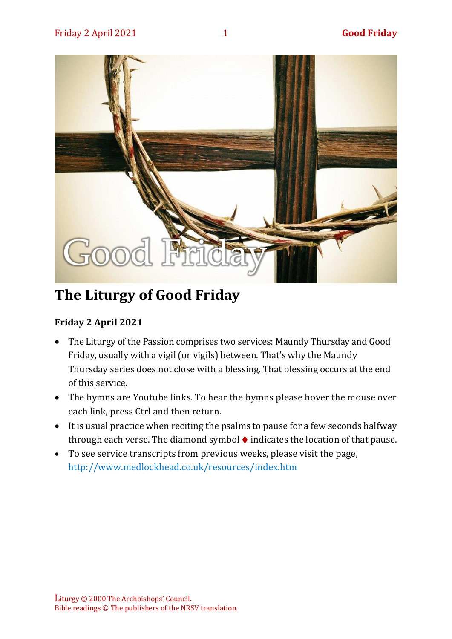

# **The Liturgy of Good Friday**

## **Friday 2 April 2021**

- The Liturgy of the Passion comprises two services: Maundy Thursday and Good Friday, usually with a vigil (or vigils) between. That's why the Maundy Thursday series does not close with a blessing. That blessing occurs at the end of this service.
- The hymns are Youtube links. To hear the hymns please hover the mouse over each link, press Ctrl and then return.
- It is usual practice when reciting the psalms to pause for a few seconds halfway through each verse. The diamond symbol ♦ indicates the location of that pause.
- To see service transcripts from previous weeks, please visit the page, <http://www.medlockhead.co.uk/resources/index.htm>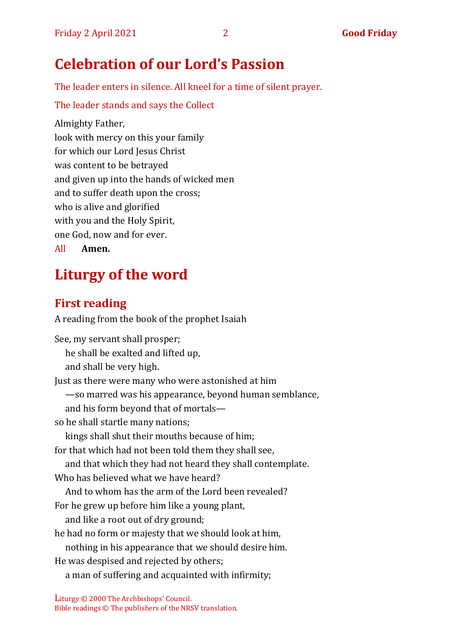# **Celebration of our Lord's Passion**

The leader enters in silence. All kneel for a time of silent prayer.

The leader stands and says the Collect

Almighty Father, look with mercy on this your family for which our Lord Jesus Christ was content to be betrayed and given up into the hands of wicked men and to suffer death upon the cross; who is alive and glorified with you and the Holy Spirit, one God, now and for ever. All **Amen.**

# **Liturgy of the word**

# **First reading**

A reading from the book of the prophet Isaiah See, my servant shall prosper; he shall be exalted and lifted up, and shall be very high. Just as there were many who were astonished at him —so marred was his appearance, beyond human semblance, and his form beyond that of mortals so he shall startle many nations; kings shall shut their mouths because of him; for that which had not been told them they shall see, and that which they had not heard they shall contemplate. Who has believed what we have heard? And to whom has the arm of the Lord been revealed? For he grew up before him like a young plant, and like a root out of dry ground; he had no form or majesty that we should look at him, nothing in his appearance that we should desire him. He was despised and rejected by others; a man of suffering and acquainted with infirmity;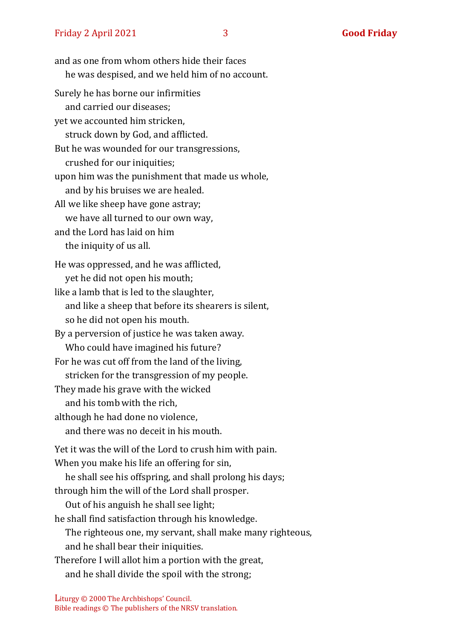and as one from whom others hide their faces he was despised, and we held him of no account. Surely he has borne our infirmities and carried our diseases; yet we accounted him stricken, struck down by God, and afflicted. But he was wounded for our transgressions, crushed for our iniquities; upon him was the punishment that made us whole, and by his bruises we are healed. All we like sheep have gone astray; we have all turned to our own way, and the Lord has laid on him the iniquity of us all. He was oppressed, and he was afflicted, yet he did not open his mouth; like a lamb that is led to the slaughter, and like a sheep that before its shearers is silent, so he did not open his mouth. By a perversion of justice he was taken away. Who could have imagined his future? For he was cut off from the land of the living, stricken for the transgression of my people. They made his grave with the wicked and his tombwith the rich, although he had done no violence, and there was no deceit in his mouth. Yet it was the will of the Lord to crush him with pain. When you make his life an offering for sin, he shall see his offspring, and shall prolong his days; through him the will of the Lord shall prosper. Out of his anguish he shall see light; he shall find satisfaction through his knowledge. The righteous one, my servant, shall make many righteous, and he shall bear their iniquities. Therefore I will allot him a portion with the great, and he shall divide the spoil with the strong;

Liturgy © 2000 The Archbishops' Council. Bible readings © The publishers of the NRSV translation.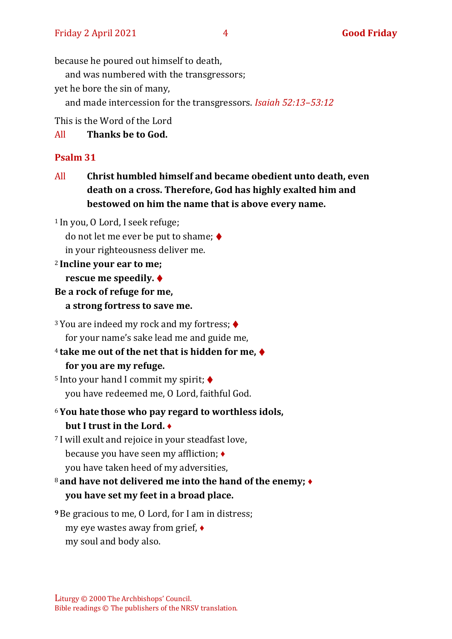because he poured out himself to death,

and was numbered with the transgressors;

yet he bore the sin of many,

and made intercession for the transgressors. *Isaiah 52:13–53:12*

This is the Word of the Lord

All **Thanks be to God.**

#### **Psalm 31**

All **Christ humbled himself and became obedient unto death, even death on a cross. Therefore, God has highly exalted him and bestowed on him the name that is above every name.**

<sup>1</sup> In you, O Lord, I seek refuge;

do not let me ever be put to shame; ♦

in your righteousness deliver me.

<sup>2</sup> **Incline your ear to me;**

**rescue me speedily.** ♦

```
Be a rock of refuge for me,
```
**a strong fortress to save me.**

<sup>3</sup> You are indeed my rock and my fortress; ♦ for your name's sake lead me and guide me,

<sup>4</sup> **take me out of the net that is hidden for me,** ♦

#### **for you are my refuge.**

 $5$  Into your hand I commit my spirit;  $\blacklozenge$ you have redeemed me, O Lord, faithful God.

<sup>6</sup>**You hate those who pay regard to worthless idols, but I trust in the Lord.** ♦

<sup>7</sup> I will exult and rejoice in your steadfast love, because you have seen my affliction; ♦ you have taken heed of my adversities,

<sup>8</sup> **and have not delivered me into the hand of the enemy;** ♦ **you have set my feet in a broad place.**

**<sup>9</sup>**Be gracious to me, O Lord, for I am in distress; my eye wastes away from grief,  $\triangleleft$ my soul and body also.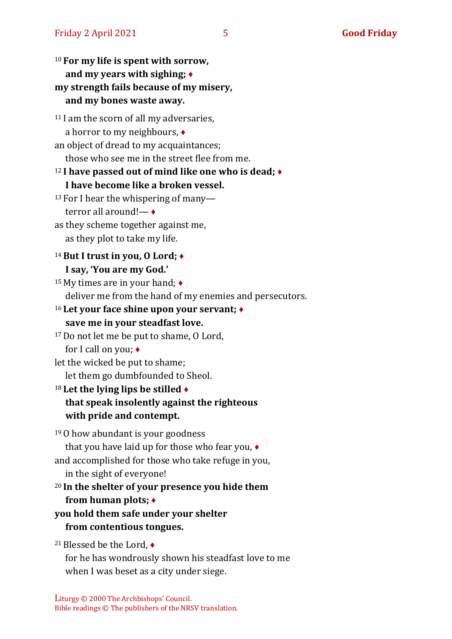<sup>10</sup> **For my life is spent with sorrow, and my years with sighing;** ♦ **my strength fails because of my misery, and my bones waste away.** <sup>11</sup> I am the scorn of all my adversaries, a horror to my neighbours, ♦ an object of dread to my acquaintances; those who see me in the street flee from me. <sup>12</sup> **I have passed out of mind like one who is dead;** ♦ **I have become like a broken vessel.** <sup>13</sup> For I hear the whispering of many terror all around!— ♦ as they scheme together against me, as they plot to take my life. <sup>14</sup>**But I trust in you, O Lord;** ♦ **I say, 'You are my God.'** <sup>15</sup> My times are in your hand;  $\triangleleft$ deliver me from the hand of my enemies and persecutors. <sup>16</sup> **Let your face shine upon your servant;** ♦ **save me in your steadfast love.** <sup>17</sup>Do not let me be put to shame, O Lord, for I call on you; ♦ let the wicked be put to shame; let them go dumbfounded to Sheol. <sup>18</sup> **Let the lying lips be stilled** ♦ **that speak insolently against the righteous with pride and contempt.** <sup>19</sup>O how abundant is your goodness that you have laid up for those who fear you, ♦ and accomplished for those who take refuge in you, in the sight of everyone! <sup>20</sup> **In the shelter of your presence you hide them from human plots;** ♦ **you hold them safe under your shelter from contentious tongues.** <sup>21</sup>Blessed be the Lord, ♦ for he has wondrously shown his steadfast love to me

when I was beset as a city under siege.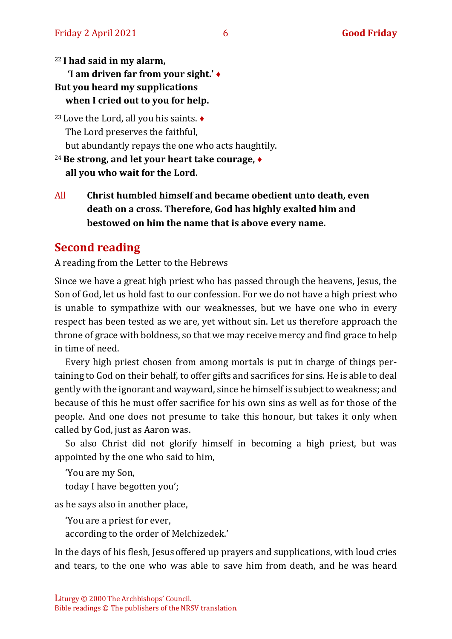<sup>22</sup> **I had said in my alarm, 'I am driven far from your sight.'** ♦ **But you heard my supplications when I cried out to you for help.**

<sup>23</sup> Love the Lord, all you his saints.  $\triangleleft$ The Lord preserves the faithful, but abundantly repays the one who acts haughtily.

<sup>24</sup>**Be strong, and let your heart take courage,** ♦ **all you who wait for the Lord.**

All **Christ humbled himself and became obedient unto death, even death on a cross. Therefore, God has highly exalted him and bestowed on him the name that is above every name.**

## **Second reading**

A reading from the Letter to the Hebrews

Since we have a great high priest who has passed through the heavens, Jesus, the Son of God, let us hold fast to our confession. For we do not have a high priest who is unable to sympathize with our weaknesses, but we have one who in every respect has been tested as we are, yet without sin. Let us therefore approach the throne of grace with boldness, so that we may receive mercy and find grace to help in time of need.

Every high priest chosen from among mortals is put in charge of things pertaining to God on their behalf, to offer gifts and sacrifices for sins. He is able to deal gently with the ignorant and wayward, since he himself is subject to weakness; and because of this he must offer sacrifice for his own sins as well as for those of the people. And one does not presume to take this honour, but takes it only when called by God, just as Aaron was.

So also Christ did not glorify himself in becoming a high priest, but was appointed by the one who said to him,

'You are my Son, today I have begotten you';

as he says also in another place,

'You are a priest for ever,

according to the order of Melchizedek.'

In the days of his flesh, Jesus offered up prayers and supplications, with loud cries and tears, to the one who was able to save him from death, and he was heard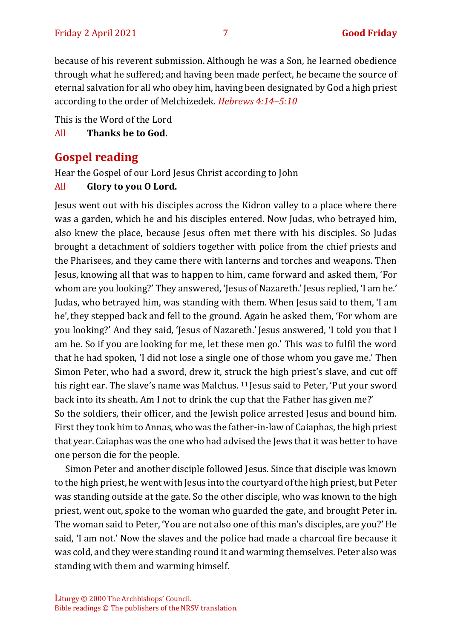because of his reverent submission. Although he was a Son, he learned obedience through what he suffered; and having been made perfect, he became the source of eternal salvation for all who obey him, having been designated by God a high priest according to the order of Melchizedek. *Hebrews 4:14–5:10*

This is the Word of the Lord All **Thanks be to God.**

# **Gospel reading**

Hear the Gospel of our Lord Jesus Christ according to John

## All **Glory to you O Lord.**

Jesus went out with his disciples across the Kidron valley to a place where there was a garden, which he and his disciples entered. Now Judas, who betrayed him, also knew the place, because Jesus often met there with his disciples. So Judas brought a detachment of soldiers together with police from the chief priests and the Pharisees, and they came there with lanterns and torches and weapons. Then Jesus, knowing all that was to happen to him, came forward and asked them, 'For whom are you looking?' They answered, 'Jesus of Nazareth.' Jesus replied, 'I am he.' Judas, who betrayed him, was standing with them. When Jesus said to them, 'I am he', they stepped back and fell to the ground. Again he asked them, 'For whom are you looking?' And they said, 'Jesus of Nazareth.' Jesus answered, 'I told you that I am he. So if you are looking for me, let these men go.' This was to fulfil the word that he had spoken, 'I did not lose a single one of those whom you gave me.' Then Simon Peter, who had a sword, drew it, struck the high priest's slave, and cut off his right ear. The slave's name was Malchus. <sup>11</sup> Jesus said to Peter, 'Put your sword back into its sheath. Am I not to drink the cup that the Father has given me?' So the soldiers, their officer, and the Jewish police arrested Jesus and bound him. First they took him to Annas, who was the father-in-law of Caiaphas, the high priest that year. Caiaphas was the one who had advised the Jews that it was better to have one person die for the people.

Simon Peter and another disciple followed Jesus. Since that disciple was known to the high priest, he went with Jesus into the courtyard of the high priest, but Peter was standing outside at the gate. So the other disciple, who was known to the high priest, went out, spoke to the woman who guarded the gate, and brought Peter in. The woman said to Peter, 'You are not also one of this man's disciples, are you?' He said, 'I am not.' Now the slaves and the police had made a charcoal fire because it was cold, and they were standing round it and warming themselves. Peter also was standing with them and warming himself.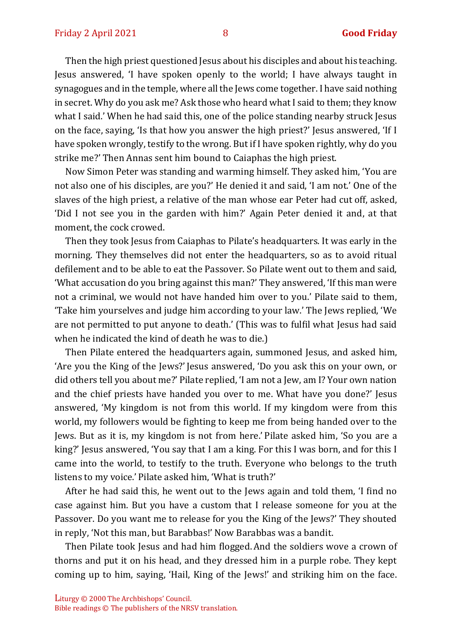Then the high priest questioned Jesus about his disciples and about his teaching. Jesus answered, 'I have spoken openly to the world; I have always taught in synagogues and in the temple, where all the Jews come together. I have said nothing in secret. Why do you ask me? Ask those who heard what I said to them; they know what I said.' When he had said this, one of the police standing nearby struck Jesus on the face, saying, 'Is that how you answer the high priest?' Jesus answered, 'If I have spoken wrongly, testify to the wrong. But if I have spoken rightly, why do you strike me?' Then Annas sent him bound to Caiaphas the high priest.

Now Simon Peter was standing and warming himself. They asked him, 'You are not also one of his disciples, are you?' He denied it and said, 'I am not.' One of the slaves of the high priest, a relative of the man whose ear Peter had cut off, asked, 'Did I not see you in the garden with him?' Again Peter denied it and, at that moment, the cock crowed.

Then they took Jesus from Caiaphas to Pilate's headquarters. It was early in the morning. They themselves did not enter the headquarters, so as to avoid ritual defilement and to be able to eat the Passover. So Pilate went out to them and said, 'What accusation do you bring against this man?' They answered, 'If this man were not a criminal, we would not have handed him over to you.' Pilate said to them, 'Take him yourselves and judge him according to your law.' The Jews replied, 'We are not permitted to put anyone to death.' (This was to fulfil what Jesus had said when he indicated the kind of death he was to die.)

Then Pilate entered the headquarters again, summoned Jesus, and asked him, 'Are you the King of the Jews?' Jesus answered, 'Do you ask this on your own, or did others tell you about me?' Pilate replied, 'I am not a Jew, am I? Your own nation and the chief priests have handed you over to me. What have you done?' Jesus answered, 'My kingdom is not from this world. If my kingdom were from this world, my followers would be fighting to keep me from being handed over to the Jews. But as it is, my kingdom is not from here.' Pilate asked him, 'So you are a king?' Jesus answered, 'You say that I am a king. For this I was born, and for this I came into the world, to testify to the truth. Everyone who belongs to the truth listens to my voice.' Pilate asked him, 'What is truth?'

After he had said this, he went out to the Jews again and told them, 'I find no case against him. But you have a custom that I release someone for you at the Passover. Do you want me to release for you the King of the Jews?' They shouted in reply, 'Not this man, but Barabbas!' Now Barabbas was a bandit.

Then Pilate took Jesus and had him flogged. And the soldiers wove a crown of thorns and put it on his head, and they dressed him in a purple robe. They kept coming up to him, saying, 'Hail, King of the Jews!' and striking him on the face.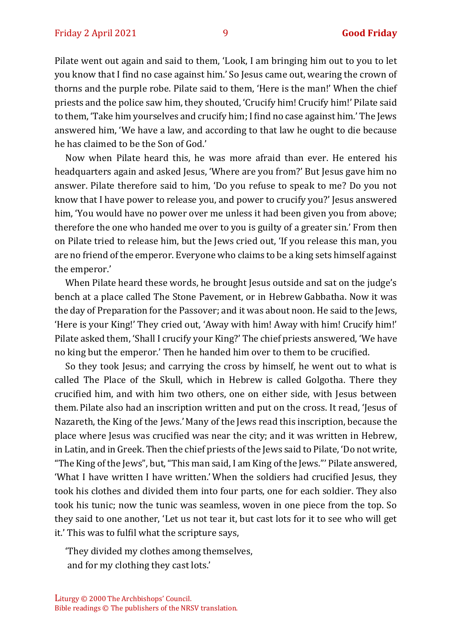Pilate went out again and said to them, 'Look, I am bringing him out to you to let you know that I find no case against him.' So Jesus came out, wearing the crown of thorns and the purple robe. Pilate said to them, 'Here is the man!' When the chief priests and the police saw him, they shouted, 'Crucify him! Crucify him!' Pilate said to them, 'Take him yourselves and crucify him; I find no case against him.' The Jews answered him, 'We have a law, and according to that law he ought to die because he has claimed to be the Son of God.'

Now when Pilate heard this, he was more afraid than ever. He entered his headquarters again and asked Jesus, 'Where are you from?' But Jesus gave him no answer. Pilate therefore said to him, 'Do you refuse to speak to me? Do you not know that I have power to release you, and power to crucify you?' Jesus answered him, 'You would have no power over me unless it had been given you from above; therefore the one who handed me over to you is guilty of a greater sin.' From then on Pilate tried to release him, but the Jews cried out, 'If you release this man, you are no friend of the emperor. Everyone who claims to be a king sets himself against the emperor.'

When Pilate heard these words, he brought Jesus outside and sat on the judge's bench at a place called The Stone Pavement, or in Hebrew Gabbatha. Now it was the day of Preparation for the Passover; and it was about noon. He said to the Jews, 'Here is your King!' They cried out, 'Away with him! Away with him! Crucify him!' Pilate asked them, 'Shall I crucify your King?' The chief priests answered, 'We have no king but the emperor.' Then he handed him over to them to be crucified.

So they took Jesus; and carrying the cross by himself, he went out to what is called The Place of the Skull, which in Hebrew is called Golgotha. There they crucified him, and with him two others, one on either side, with Jesus between them. Pilate also had an inscription written and put on the cross. It read, 'Jesus of Nazareth, the King of the Jews.' Many of the Jews read this inscription, because the place where Jesus was crucified was near the city; and it was written in Hebrew, in Latin, and in Greek. Then the chief priests of the Jews said to Pilate, 'Do not write, "The King of the Jews", but, "This man said, I am King of the Jews."' Pilate answered, 'What I have written I have written.' When the soldiers had crucified Jesus, they took his clothes and divided them into four parts, one for each soldier. They also took his tunic; now the tunic was seamless, woven in one piece from the top. So they said to one another, 'Let us not tear it, but cast lots for it to see who will get it.' This was to fulfil what the scripture says,

'They divided my clothes among themselves, and for my clothing they cast lots.'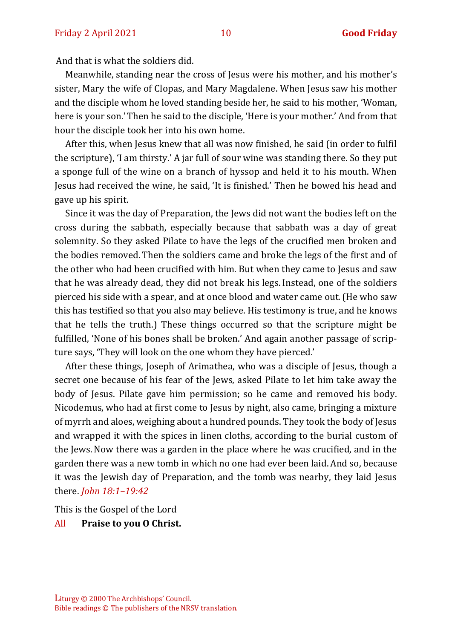And that is what the soldiers did.

Meanwhile, standing near the cross of Jesus were his mother, and his mother's sister, Mary the wife of Clopas, and Mary Magdalene. When Jesus saw his mother and the disciple whom he loved standing beside her, he said to his mother, 'Woman, here is your son.' Then he said to the disciple, 'Here is your mother.' And from that hour the disciple took her into his own home.

After this, when Jesus knew that all was now finished, he said (in order to fulfil the scripture), 'I am thirsty.' A jar full of sour wine was standing there. So they put a sponge full of the wine on a branch of hyssop and held it to his mouth. When Jesus had received the wine, he said, 'It is finished.' Then he bowed his head and gave up his spirit.

Since it was the day of Preparation, the Jews did not want the bodies left on the cross during the sabbath, especially because that sabbath was a day of great solemnity. So they asked Pilate to have the legs of the crucified men broken and the bodies removed. Then the soldiers came and broke the legs of the first and of the other who had been crucified with him. But when they came to Jesus and saw that he was already dead, they did not break his legs. Instead, one of the soldiers pierced his side with a spear, and at once blood and water came out.(He who saw this has testified so that you also may believe. His testimony is true, and he knows that he tells the truth.) These things occurred so that the scripture might be fulfilled, 'None of his bones shall be broken.' And again another passage of scripture says, 'They will look on the one whom they have pierced.'

After these things, Joseph of Arimathea, who was a disciple of Jesus, though a secret one because of his fear of the Jews, asked Pilate to let him take away the body of Jesus. Pilate gave him permission; so he came and removed his body. Nicodemus, who had at first come to Jesus by night, also came, bringing a mixture of myrrh and aloes, weighing about a hundred pounds. They took the body of Jesus and wrapped it with the spices in linen cloths, according to the burial custom of the Jews.Now there was a garden in the place where he was crucified, and in the garden there was a new tomb in which no one had ever been laid. And so, because it was the Jewish day of Preparation, and the tomb was nearby, they laid Jesus there. *John 18:1–19:42*

This is the Gospel of the Lord

#### All **Praise to you O Christ.**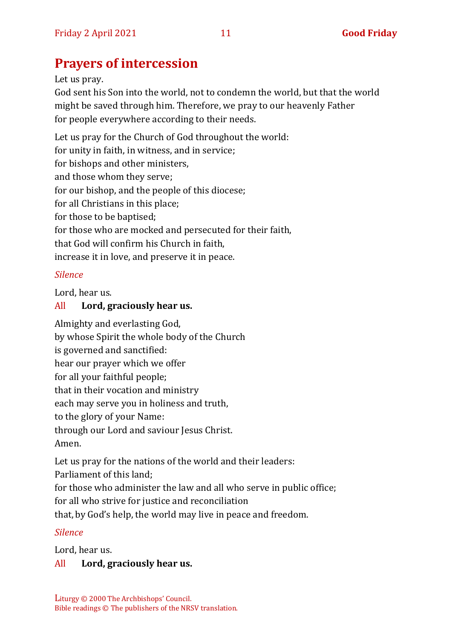# **Prayers of intercession**

Let us pray.

God sent his Son into the world, not to condemn the world, but that the world might be saved through him. Therefore, we pray to our heavenly Father for people everywhere according to their needs.

Let us pray for the Church of God throughout the world: for unity in faith, in witness, and in service; for bishops and other ministers, and those whom they serve; for our bishop, and the people of this diocese; for all Christians in this place; for those to be baptised; for those who are mocked and persecuted for their faith, that God will confirm his Church in faith, increase it in love, and preserve it in peace.

#### *Silence*

Lord, hear us.

## All **Lord, graciously hear us.**

Almighty and everlasting God,

by whose Spirit the whole body of the Church

is governed and sanctified:

hear our prayer which we offer

for all your faithful people;

that in their vocation and ministry

each may serve you in holiness and truth,

to the glory of your Name:

through our Lord and saviour Jesus Christ.

Amen.

Let us pray for the nations of the world and their leaders:

Parliament of this land;

for those who administer the law and all who serve in public office;

for all who strive for justice and reconciliation

that, by God's help, the world may live in peace and freedom.

### *Silence*

Lord, hear us.

### All **Lord, graciously hear us.**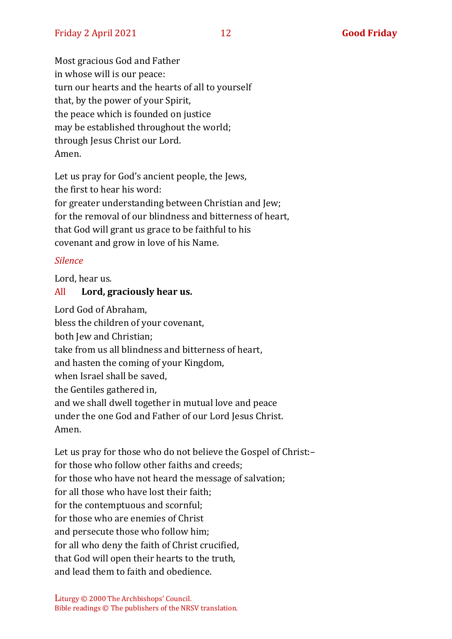Most gracious God and Father in whose will is our peace: turn our hearts and the hearts of all to yourself that, by the power of your Spirit, the peace which is founded on justice may be established throughout the world; through Jesus Christ our Lord. Amen.

Let us pray for God's ancient people, the Jews, the first to hear his word: for greater understanding between Christian and Jew; for the removal of our blindness and bitterness of heart, that God will grant us grace to be faithful to his covenant and grow in love of his Name.

#### *Silence*

Lord, hear us.

#### All **Lord, graciously hear us.**

Lord God of Abraham,

bless the children of your covenant,

both Jew and Christian;

take from us all blindness and bitterness of heart,

and hasten the coming of your Kingdom,

when Israel shall be saved,

the Gentiles gathered in,

and we shall dwell together in mutual love and peace

under the one God and Father of our Lord Jesus Christ.

Amen.

Let us pray for those who do not believe the Gospel of Christ:– for those who follow other faiths and creeds; for those who have not heard the message of salvation; for all those who have lost their faith; for the contemptuous and scornful; for those who are enemies of Christ and persecute those who follow him; for all who deny the faith of Christ crucified, that God will open their hearts to the truth, and lead them to faith and obedience.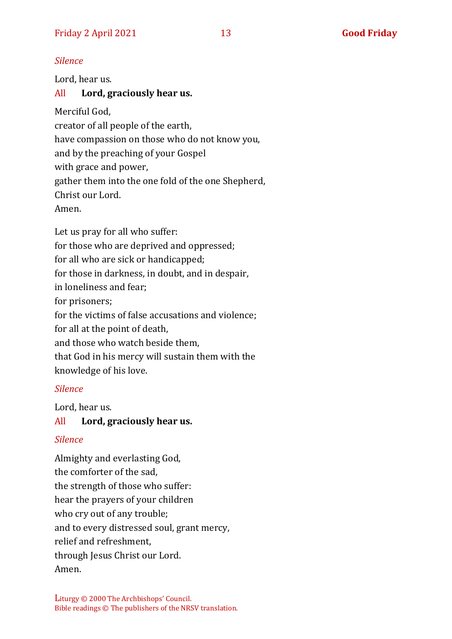#### *Silence*

Lord, hear us.

#### All **Lord, graciously hear us.**

Merciful God,

creator of all people of the earth,

have compassion on those who do not know you,

and by the preaching of your Gospel

with grace and power,

gather them into the one fold of the one Shepherd,

Christ our Lord.

Amen.

Let us pray for all who suffer: for those who are deprived and oppressed; for all who are sick or handicapped; for those in darkness, in doubt, and in despair, in loneliness and fear; for prisoners; for the victims of false accusations and violence; for all at the point of death, and those who watch beside them, that God in his mercy will sustain them with the knowledge of his love.

### *Silence*

Lord, hear us.

### All **Lord, graciously hear us.**

### *Silence*

Almighty and everlasting God, the comforter of the sad, the strength of those who suffer: hear the prayers of your children who cry out of any trouble; and to every distressed soul, grant mercy, relief and refreshment, through Jesus Christ our Lord. Amen.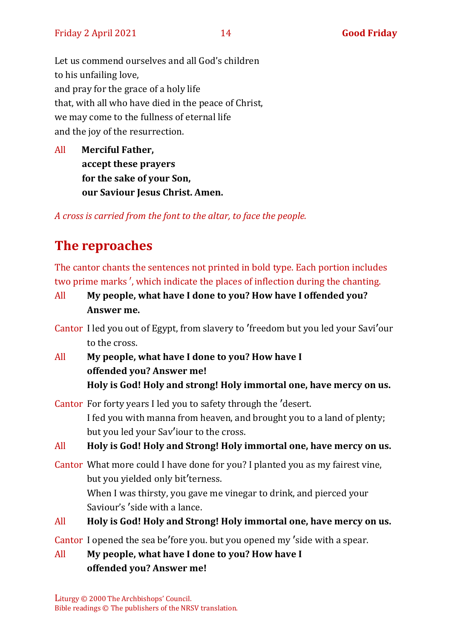Let us commend ourselves and all God's children to his unfailing love, and pray for the grace of a holy life that, with all who have died in the peace of Christ, we may come to the fullness of eternal life and the joy of the resurrection.

All **Merciful Father, accept these prayers for the sake of your Son, our Saviour Jesus Christ. Amen.**

*A cross is carried from the font to the altar, to face the people.* 

# **The reproaches**

The cantor chants the sentences not printed in bold type. Each portion includes two prime marks ′, which indicate the places of inflection during the chanting.

- All **My people, what have I done to you? How have I offended you? Answer me.**
- Cantor I led you out of Egypt, from slavery to **′**freedom but you led your Savi**′**our to the cross.
- All **My people, what have I done to you? How have I offended you? Answer me! Holy is God! Holy and strong! Holy immortal one, have mercy on us.**

Cantor For forty years I led you to safety through the **′**desert. I fed you with manna from heaven, and brought you to a land of plenty; but you led your Sav**′**iour to the cross.

- All **Holy is God! Holy and Strong! Holy immortal one, have mercy on us.**
- Cantor What more could I have done for you? I planted you as my fairest vine, but you yielded only bit**′**terness. When I was thirsty, you gave me vinegar to drink, and pierced your Saviour's **′**side with a lance.

All **Holy is God! Holy and Strong! Holy immortal one, have mercy on us.**

Cantor I opened the sea be**′**fore you. but you opened my **′**side with a spear.

All **My people, what have I done to you? How have I offended you? Answer me!**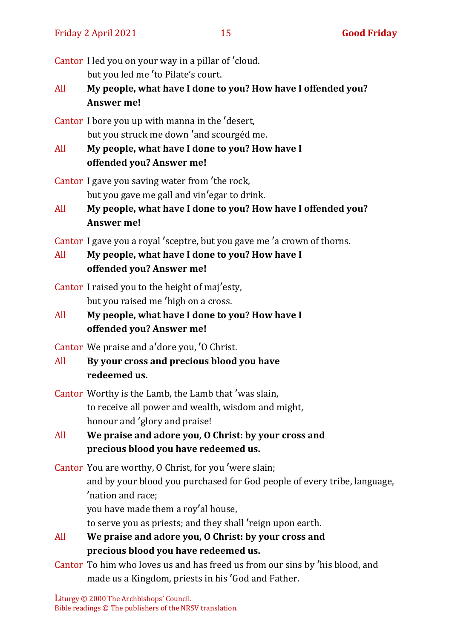Cantor I led you on your way in a pillar of **′**cloud. but you led me **′**to Pilate's court.

All **My people, what have I done to you? How have I offended you? Answer me!**

Cantor I bore you up with manna in the **′**desert, but you struck me down 'and scourgéd me.

All **My people, what have I done to you? How have I offended you? Answer me!**

Cantor I gave you saving water from **′**the rock, but you gave me gall and vin**′**egar to drink.

All **My people, what have I done to you? How have I offended you? Answer me!**

Cantor I gave you a royal **′**sceptre, but you gave me **′**a crown of thorns.

All **My people, what have I done to you? How have I offended you? Answer me!**

Cantor I raised you to the height of maj**′**esty, but you raised me **′**high on a cross.

All **My people, what have I done to you? How have I offended you? Answer me!**

Cantor We praise and a**′**dore you, **′**O Christ.

All **By your cross and precious blood you have redeemed us.**

Cantor Worthy is the Lamb, the Lamb that **′**was slain, to receive all power and wealth, wisdom and might, honour and **′**glory and praise!

All **We praise and adore you, O Christ: by your cross and precious blood you have redeemed us.**

Cantor You are worthy, O Christ, for you **′**were slain; and by your blood you purchased for God people of every tribe, language, **′**nation and race; you have made them a roy**′**al house, to serve you as priests; and they shall **′**reign upon earth.

- All **We praise and adore you, O Christ: by your cross and precious blood you have redeemed us.**
- Cantor To him who loves us and has freed us from our sins by **′**his blood, and made us a Kingdom, priests in his **′**God and Father.

Liturgy © 2000 The Archbishops' Council. Bible readings © The publishers of the NRSV translation.